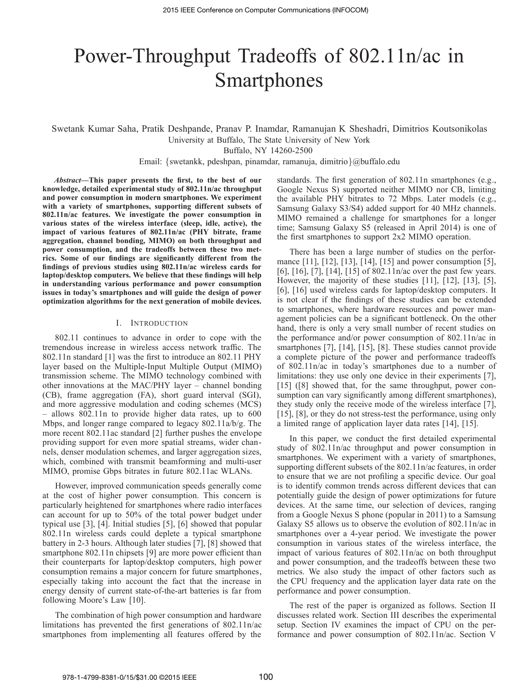# Power-Throughput Tradeoffs of 802.11n/ac in **Smartphones**

Swetank Kumar Saha, Pratik Deshpande, Pranav P. Inamdar, Ramanujan K Sheshadri, Dimitrios Koutsonikolas University at Buffalo, The State University of New York

Buffalo, NY 14260-2500

Email: {swetankk, pdeshpan, pinamdar, ramanuja, dimitrio}@buffalo.edu

*Abstract***—This paper presents the first, to the best of our knowledge, detailed experimental study of 802.11n/ac throughput and power consumption in modern smartphones. We experiment with a variety of smartphones, supporting different subsets of 802.11n/ac features. We investigate the power consumption in various states of the wireless interface (sleep, idle, active), the impact of various features of 802.11n/ac (PHY bitrate, frame aggregation, channel bonding, MIMO) on both throughput and power consumption, and the tradeoffs between these two metrics. Some of our findings are significantly different from the findings of previous studies using 802.11n/ac wireless cards for laptop/desktop computers. We believe that these findings will help in understanding various performance and power consumption issues in today's smartphones and will guide the design of power optimization algorithms for the next generation of mobile devices.**

## I. INTRODUCTION

802.11 continues to advance in order to cope with the tremendous increase in wireless access network traffic. The 802.11n standard [1] was the first to introduce an 802.11 PHY layer based on the Multiple-Input Multiple Output (MIMO) transmission scheme. The MIMO technology combined with other innovations at the MAC/PHY layer – channel bonding (CB), frame aggregation (FA), short guard interval (SGI), and more aggressive modulation and coding schemes (MCS) – allows 802.11n to provide higher data rates, up to 600 Mbps, and longer range compared to legacy 802.11a/b/g. The more recent 802.11ac standard [2] further pushes the envelope providing support for even more spatial streams, wider channels, denser modulation schemes, and larger aggregation sizes, which, combined with transmit beamforming and multi-user MIMO, promise Gbps bitrates in future 802.11ac WLANs.

However, improved communication speeds generally come at the cost of higher power consumption. This concern is particularly heightened for smartphones where radio interfaces can account for up to 50% of the total power budget under typical use [3], [4]. Initial studies [5], [6] showed that popular 802.11n wireless cards could deplete a typical smartphone battery in 2-3 hours. Although later studies [7], [8] showed that smartphone 802.11n chipsets [9] are more power efficient than their counterparts for laptop/desktop computers, high power consumption remains a major concern for future smartphones, especially taking into account the fact that the increase in energy density of current state-of-the-art batteries is far from following Moore's Law [10].

The combination of high power consumption and hardware limitations has prevented the first generations of 802.11n/ac smartphones from implementing all features offered by the standards. The first generation of 802.11n smartphones (e.g., Google Nexus S) supported neither MIMO nor CB, limiting the available PHY bitrates to 72 Mbps. Later models (e.g., Samsung Galaxy S3/S4) added support for 40 MHz channels. MIMO remained a challenge for smartphones for a longer time; Samsung Galaxy S5 (released in April 2014) is one of the first smartphones to support 2x2 MIMO operation.

There has been a large number of studies on the performance [11], [12], [13], [14], [15] and power consumption [5], [6], [16], [7], [14], [15] of 802.11n/ac over the past few years. However, the majority of these studies [11], [12], [13], [5], [6], [16] used wireless cards for laptop/desktop computers. It is not clear if the findings of these studies can be extended to smartphones, where hardware resources and power management policies can be a significant bottleneck. On the other hand, there is only a very small number of recent studies on the performance and/or power consumption of 802.11n/ac in smartphones [7], [14], [15], [8]. These studies cannot provide a complete picture of the power and performance tradeoffs of 802.11n/ac in today's smartphones due to a number of limitations: they use only one device in their experiments [7], [15] ([8] showed that, for the same throughput, power consumption can vary significantly among different smartphones), they study only the receive mode of the wireless interface [7], [15], [8], or they do not stress-test the performance, using only a limited range of application layer data rates [14], [15].

In this paper, we conduct the first detailed experimental study of 802.11n/ac throughput and power consumption in smartphones. We experiment with a variety of smartphones, supporting different subsets of the 802.11n/ac features, in order to ensure that we are not profiling a specific device. Our goal is to identify common trends across different devices that can potentially guide the design of power optimizations for future devices. At the same time, our selection of devices, ranging from a Google Nexus S phone (popular in 2011) to a Samsung Galaxy S5 allows us to observe the evolution of 802.11n/ac in smartphones over a 4-year period. We investigate the power consumption in various states of the wireless interface, the impact of various features of 802.11n/ac on both throughput and power consumption, and the tradeoffs between these two metrics. We also study the impact of other factors such as the CPU frequency and the application layer data rate on the performance and power consumption.

The rest of the paper is organized as follows. Section II discusses related work. Section III describes the experimental setup. Section IV examines the impact of CPU on the performance and power consumption of 802.11n/ac. Section V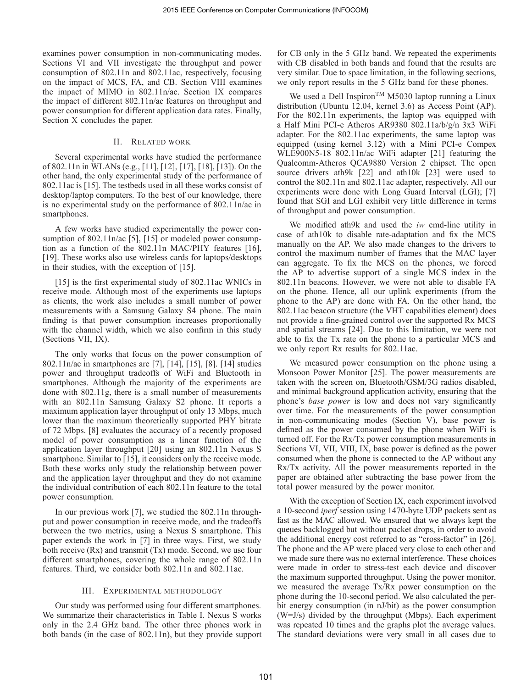examines power consumption in non-communicating modes. Sections VI and VII investigate the throughput and power consumption of 802.11n and 802.11ac, respectively, focusing on the impact of MCS, FA, and CB. Section VIII examines the impact of MIMO in 802.11n/ac. Section IX compares the impact of different 802.11n/ac features on throughput and power consumption for different application data rates. Finally, Section X concludes the paper.

## II. RELATED WORK

Several experimental works have studied the performance of 802.11n in WLANs (e.g., [11], [12], [17], [18], [13]). On the other hand, the only experimental study of the performance of 802.11ac is [15]. The testbeds used in all these works consist of desktop/laptop computers. To the best of our knowledge, there is no experimental study on the performance of 802.11n/ac in smartphones.

A few works have studied experimentally the power consumption of 802.11n/ac [5], [15] or modeled power consumption as a function of the 802.11n MAC/PHY features [16], [19]. These works also use wireless cards for laptops/desktops in their studies, with the exception of [15].

[15] is the first experimental study of 802.11ac WNICs in receive mode. Although most of the experiments use laptops as clients, the work also includes a small number of power measurements with a Samsung Galaxy S4 phone. The main finding is that power consumption increases proportionally with the channel width, which we also confirm in this study (Sections VII, IX).

The only works that focus on the power consumption of 802.11n/ac in smartphones are [7], [14], [15], [8]. [14] studies power and throughput tradeoffs of WiFi and Bluetooth in smartphones. Although the majority of the experiments are done with 802.11g, there is a small number of measurements with an 802.11n Samsung Galaxy S2 phone. It reports a maximum application layer throughput of only 13 Mbps, much lower than the maximum theoretically supported PHY bitrate of 72 Mbps. [8] evaluates the accuracy of a recently proposed model of power consumption as a linear function of the application layer throughput [20] using an 802.11n Nexus S smartphone. Similar to [15], it considers only the receive mode. Both these works only study the relationship between power and the application layer throughput and they do not examine the individual contribution of each 802.11n feature to the total power consumption.

In our previous work [7], we studied the 802.11n throughput and power consumption in receive mode, and the tradeoffs between the two metrics, using a Nexus S smartphone. This paper extends the work in [7] in three ways. First, we study both receive (Rx) and transmit (Tx) mode. Second, we use four different smartphones, covering the whole range of 802.11n features. Third, we consider both 802.11n and 802.11ac.

## III. EXPERIMENTAL METHODOLOGY

Our study was performed using four different smartphones. We summarize their characteristics in Table I. Nexus S works only in the 2.4 GHz band. The other three phones work in both bands (in the case of 802.11n), but they provide support for CB only in the 5 GHz band. We repeated the experiments with CB disabled in both bands and found that the results are very similar. Due to space limitation, in the following sections, we only report results in the 5 GHz band for these phones.

We used a Dell Inspiron<sup>TM</sup> M5030 laptop running a Linux distribution (Ubuntu 12.04, kernel 3.6) as Access Point (AP). For the 802.11n experiments, the laptop was equipped with a Half Mini PCI-e Atheros AR9380 802.11a/b/g/n 3x3 WiFi adapter. For the 802.11ac experiments, the same laptop was equipped (using kernel 3.12) with a Mini PCI-e Compex WLE900N5-18 802.11n/ac WiFi adapter [21] featuring the Qualcomm-Atheros QCA9880 Version 2 chipset. The open source drivers ath9k [22] and ath10k [23] were used to control the 802.11n and 802.11ac adapter, respectively. All our experiments were done with Long Guard Interval (LGI); [7] found that SGI and LGI exhibit very little difference in terms of throughput and power consumption.

We modified ath9k and used the *iw* cmd-line utility in case of ath10k to disable rate-adaptation and fix the MCS manually on the AP. We also made changes to the drivers to control the maximum number of frames that the MAC layer can aggregate. To fix the MCS on the phones, we forced the AP to advertise support of a single MCS index in the 802.11n beacons. However, we were not able to disable FA on the phone. Hence, all our uplink experiments (from the phone to the AP) are done with FA. On the other hand, the 802.11ac beacon structure (the VHT capabilities element) does not provide a fine-grained control over the supported Rx MCS and spatial streams [24]. Due to this limitation, we were not able to fix the Tx rate on the phone to a particular MCS and we only report Rx results for 802.11ac.

We measured power consumption on the phone using a Monsoon Power Monitor [25]. The power measurements are taken with the screen on, Bluetooth/GSM/3G radios disabled, and minimal background application activity, ensuring that the phone's *base power* is low and does not vary significantly over time. For the measurements of the power consumption in non-communicating modes (Section V), base power is defined as the power consumed by the phone when WiFi is turned off. For the Rx/Tx power consumption measurements in Sections VI, VII, VIII, IX, base power is defined as the power consumed when the phone is connected to the AP without any Rx/Tx activity. All the power measurements reported in the paper are obtained after subtracting the base power from the total power measured by the power monitor.

With the exception of Section IX, each experiment involved a 10-second *iperf* session using 1470-byte UDP packets sent as fast as the MAC allowed. We ensured that we always kept the queues backlogged but without packet drops, in order to avoid the additional energy cost referred to as "cross-factor" in [26]. The phone and the AP were placed very close to each other and we made sure there was no external interference. These choices were made in order to stress-test each device and discover the maximum supported throughput. Using the power monitor, we measured the average Tx/Rx power consumption on the phone during the 10-second period. We also calculated the perbit energy consumption (in nJ/bit) as the power consumption (W=J/s) divided by the throughput (Mbps). Each experiment was repeated 10 times and the graphs plot the average values. The standard deviations were very small in all cases due to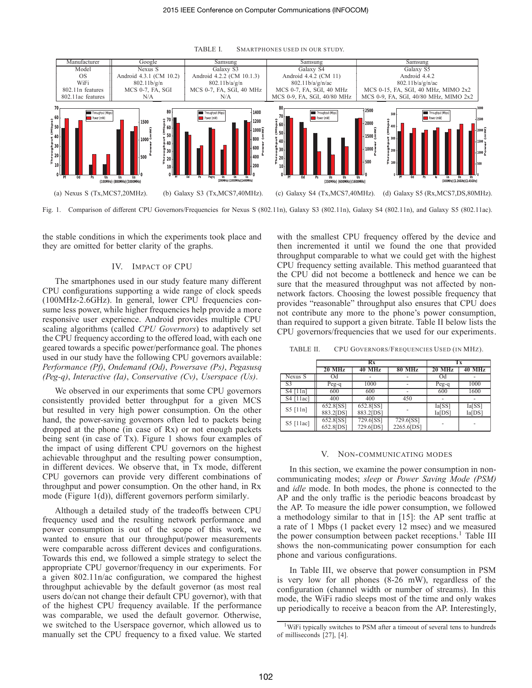

TABLE I. SMARTPHONES USED IN OUR STUDY.

Fig. 1. Comparison of different CPU Governors/Frequencies for Nexus S (802.11n), Galaxy S3 (802.11n), Galaxy S4 (802.11n), and Galaxy S5 (802.11ac).

the stable conditions in which the experiments took place and they are omitted for better clarity of the graphs.

## IV. IMPACT OF CPU

The smartphones used in our study feature many different CPU configurations supporting a wide range of clock speeds (100MHz-2.6GHz). In general, lower CPU frequencies consume less power, while higher frequencies help provide a more responsive user experience. Android provides multiple CPU scaling algorithms (called *CPU Governors*) to adaptively set the CPU frequency according to the offered load, with each one geared towards a specific power/performance goal. The phones used in our study have the following CPU governors available: *Performance (Pf)*, *Ondemand (Od)*, *Powersave (Ps)*, *Pegasusq (Peg-q)*, *Interactive (Ia)*, *Conservative (Cv)*, *Userspace (Us)*.

We observed in our experiments that some CPU governors consistently provided better throughput for a given MCS but resulted in very high power consumption. On the other hand, the power-saving governors often led to packets being dropped at the phone (in case of Rx) or not enough packets being sent (in case of Tx). Figure 1 shows four examples of the impact of using different CPU governors on the highest achievable throughput and the resulting power consumption, in different devices. We observe that, in Tx mode, different CPU governors can provide very different combinations of throughput and power consumption. On the other hand, in Rx mode (Figure 1(d)), different governors perform similarly.

Although a detailed study of the tradeoffs between CPU frequency used and the resulting network performance and power consumption is out of the scope of this work, we wanted to ensure that our throughput/power measurements were comparable across different devices and configurations. Towards this end, we followed a simple strategy to select the appropriate CPU governor/frequency in our experiments. For a given 802.11n/ac configuration, we compared the highest throughput achievable by the default governor (as most real users do/can not change their default CPU governor), with that of the highest CPU frequency available. If the performance was comparable, we used the default governor. Otherwise, we switched to the Userspace governor, which allowed us to manually set the CPU frequency to a fixed value. We started with the smallest CPU frequency offered by the device and then incremented it until we found the one that provided throughput comparable to what we could get with the highest CPU frequency setting available. This method guaranteed that the CPU did not become a bottleneck and hence we can be sure that the measured throughput was not affected by nonnetwork factors. Choosing the lowest possible frequency that provides "reasonable" throughput also ensures that CPU does not contribute any more to the phone's power consumption, than required to support a given bitrate. Table II below lists the CPU governors/frequencies that we used for our experiments.

TABLE II. CPU GOVERNORS/FREQUENCIES USED (IN MHZ).

|             |                              | Rx                     | Тx                      |                                |                  |  |
|-------------|------------------------------|------------------------|-------------------------|--------------------------------|------------------|--|
|             | 20 MHz                       | <b>40 MHz</b>          | <b>80 MHz</b>           | 20 MHz                         | <b>40 MHz</b>    |  |
| Nexus S     | Od                           |                        |                         | Od                             |                  |  |
| S3          | Peg-q                        | 1000                   |                         | Peg-q                          | 1000             |  |
| $S4$ [11n]  | 600                          | 600                    |                         | 600                            | 1600             |  |
| $S4$ [11ac] | 400                          | 400                    | 450                     |                                |                  |  |
| $S5$ [11n]  | $652.8$ $S$ $S$<br>883.2[DS] | 652.8[SS]<br>883.2[DS] |                         | $\overline{Ia}$ [SS]<br>Ia[DS] | Ia[SS]<br>Ia[DS] |  |
| S5 [11ac]   | 652.8[SS]<br>652.8[DS]       | 729.6[SS]<br>729.6[DS] | 729.6[SS]<br>2265.6[DS] |                                |                  |  |

## V. NON-COMMUNICATING MODES

In this section, we examine the power consumption in noncommunicating modes; *sleep* or *Power Saving Mode (PSM)* and *idle* mode. In both modes, the phone is connected to the AP and the only traffic is the periodic beacons broadcast by the AP. To measure the idle power consumption, we followed a methodology similar to that in [15]: the AP sent traffic at a rate of 1 Mbps (1 packet every 12 msec) and we measured the power consumption between packet receptions.<sup>1</sup> Table III shows the non-communicating power consumption for each phone and various configurations.

In Table III, we observe that power consumption in PSM is very low for all phones (8-26 mW), regardless of the configuration (channel width or number of streams). In this mode, the WiFi radio sleeps most of the time and only wakes up periodically to receive a beacon from the AP. Interestingly,

<sup>&</sup>lt;sup>1</sup>WiFi typically switches to PSM after a timeout of several tens to hundreds of milliseconds [27], [4].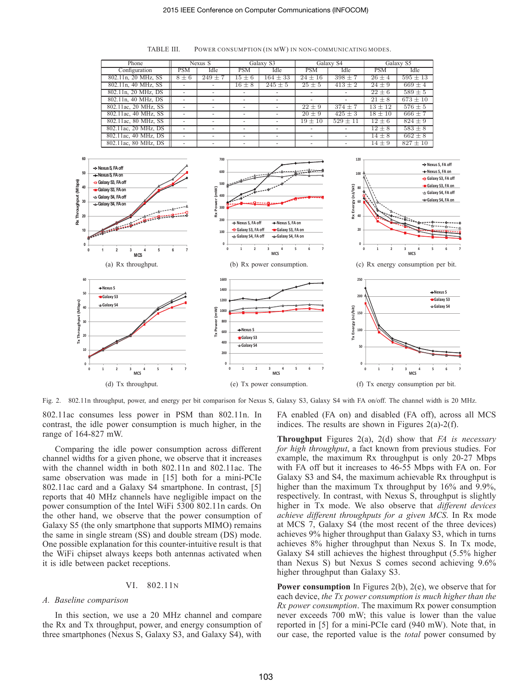| Phone                |            | Nexus S                  |                          | Galaxy S3                |                          | Galaxy S4              |             | Galaxy S5    |  |
|----------------------|------------|--------------------------|--------------------------|--------------------------|--------------------------|------------------------|-------------|--------------|--|
| Configuration        | <b>PSM</b> | Idle                     | <b>PSM</b>               | Idle                     | <b>PSM</b>               | Idle                   | <b>PSM</b>  | Idle         |  |
| 802.11n, 20 MHz, SS  | $8 \pm 6$  | $249 \pm 7$              | $15 \pm 6$               | $164 \pm 33$             | $24 \pm 16$              | $398 \pm 7$            | $26 \pm 4$  | $595 \pm 13$ |  |
| 802.11n, 40 MHz, SS  |            | -                        | $16 \pm 8$               | $245 \pm 5$              | $25 \pm 5$               | $413 \pm 2$            | $24 \pm 9$  | $669 \pm 4$  |  |
| 802.11n, 20 MHz, DS  |            |                          |                          |                          |                          |                        | $22 \pm 6$  | $589 \pm 5$  |  |
| 802.11n, 40 MHz, DS  |            | $\overline{\phantom{a}}$ | -                        | $\overline{\phantom{a}}$ | $\overline{a}$           |                        | $21 \pm 8$  | $673 \pm 10$ |  |
| 802.11ac, 20 MHz, SS |            | -                        | ۰                        |                          | $22 \pm 9$               | $374 \pm 7$            | $13 \pm 12$ | $576 \pm 5$  |  |
| 802.11ac, 40 MHz, SS |            |                          |                          |                          | $20 \pm 9$               | $\overline{425} \pm 3$ | $18 \pm 10$ | $666 \pm 7$  |  |
| 802.11ac, 80 MHz, SS |            | $\overline{\phantom{a}}$ | $\overline{\phantom{a}}$ | $\overline{\phantom{a}}$ | $19 \pm 10$              | $529 \pm 11$           | $12 \pm 6$  | $824 \pm 9$  |  |
| 802.11ac, 20 MHz, DS |            | ۰                        | -                        |                          | $\overline{\phantom{a}}$ |                        | $12 \pm 8$  | $583 \pm 8$  |  |
| 802.11ac, 40 MHz, DS |            | -                        | -                        | $\overline{\phantom{a}}$ | $\overline{\phantom{a}}$ |                        | $14 \pm 8$  | $662 \pm 8$  |  |
| 802.11ac. 80 MHz. DS |            |                          |                          |                          |                          |                        | $14 \pm 9$  | $827 \pm 10$ |  |

TABLE III. POWER CONSUMPTION (IN MW) IN NON-COMMUNICATING MODES.



Fig. 2. 802.11n throughput, power, and energy per bit comparison for Nexus S, Galaxy S3, Galaxy S4 with FA on/off. The channel width is 20 MHz.

802.11ac consumes less power in PSM than 802.11n. In contrast, the idle power consumption is much higher, in the range of 164-827 mW.

Comparing the idle power consumption across different channel widths for a given phone, we observe that it increases with the channel width in both 802.11n and 802.11ac. The same observation was made in [15] both for a mini-PCIe 802.11ac card and a Galaxy S4 smartphone. In contrast, [5] reports that 40 MHz channels have negligible impact on the power consumption of the Intel WiFi 5300 802.11n cards. On the other hand, we observe that the power consumption of Galaxy S5 (the only smartphone that supports MIMO) remains the same in single stream (SS) and double stream (DS) mode. One possible explanation for this counter-intuitive result is that the WiFi chipset always keeps both antennas activated when it is idle between packet receptions.

## VI. 802.11N

# *A. Baseline comparison*

In this section, we use a 20 MHz channel and compare the Rx and Tx throughput, power, and energy consumption of three smartphones (Nexus S, Galaxy S3, and Galaxy S4), with

FA enabled (FA on) and disabled (FA off), across all MCS indices. The results are shown in Figures  $2(a)-2(f)$ .

**Throughput** Figures 2(a), 2(d) show that *FA is necessary for high throughput*, a fact known from previous studies. For example, the maximum Rx throughput is only 20-27 Mbps with FA off but it increases to 46-55 Mbps with FA on. For Galaxy S3 and S4, the maximum achievable Rx throughput is higher than the maximum Tx throughput by 16% and 9.9%, respectively. In contrast, with Nexus S, throughput is slightly higher in Tx mode. We also observe that *different devices achieve different throughputs for a given MCS*. In Rx mode at MCS 7, Galaxy S4 (the most recent of the three devices) achieves 9% higher throughput than Galaxy S3, which in turns achieves 8% higher throughput than Nexus S. In Tx mode, Galaxy S4 still achieves the highest throughput (5.5% higher than Nexus S) but Nexus S comes second achieving 9.6% higher throughput than Galaxy S3.

**Power consumption** In Figures 2(b), 2(e), we observe that for each device, *the Tx power consumption is much higher than the Rx power consumption*. The maximum Rx power consumption never exceeds 700 mW; this value is lower than the value reported in [5] for a mini-PCIe card (940 mW). Note that, in our case, the reported value is the *total* power consumed by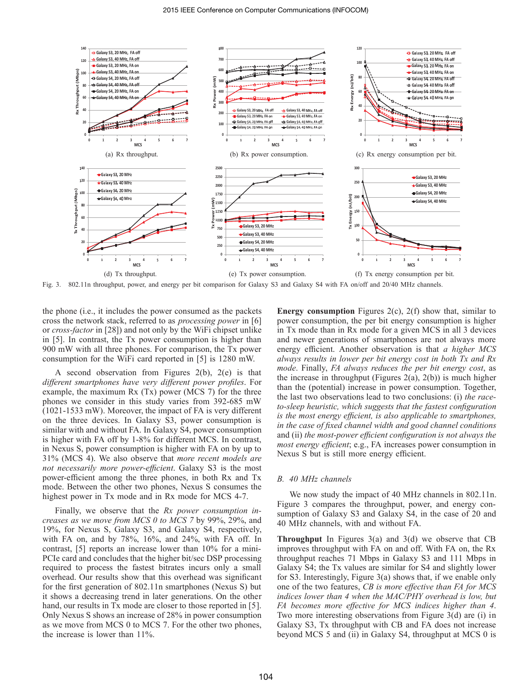

Fig. 3. 802.11n throughput, power, and energy per bit comparison for Galaxy S3 and Galaxy S4 with FA on/off and 20/40 MHz channels.

the phone (i.e., it includes the power consumed as the packets cross the network stack, referred to as *processing power* in [6] or *cross-factor* in [28]) and not only by the WiFi chipset unlike in [5]. In contrast, the Tx power consumption is higher than 900 mW with all three phones. For comparison, the Tx power consumption for the WiFi card reported in [5] is 1280 mW.

A second observation from Figures 2(b), 2(e) is that *different smartphones have very different power profiles*. For example, the maximum  $Rx(Tx)$  power (MCS 7) for the three phones we consider in this study varies from 392-685 mW (1021-1533 mW). Moreover, the impact of FA is very different on the three devices. In Galaxy S3, power consumption is similar with and without FA. In Galaxy S4, power consumption is higher with FA off by 1-8% for different MCS. In contrast, in Nexus S, power consumption is higher with FA on by up to 31% (MCS 4). We also observe that *more recent models are not necessarily more power-efficient*. Galaxy S3 is the most power-efficient among the three phones, in both Rx and Tx mode. Between the other two phones, Nexus S consumes the highest power in Tx mode and in Rx mode for MCS 4-7.

Finally, we observe that the *Rx power consumption increases as we move from MCS 0 to MCS 7* by 99%, 29%, and 19%, for Nexus S, Galaxy S3, and Galaxy S4, respectively, with FA on, and by 78%, 16%, and 24%, with FA off. In contrast, [5] reports an increase lower than 10% for a mini-PCIe card and concludes that the higher bit/sec DSP processing required to process the fastest bitrates incurs only a small overhead. Our results show that this overhead was significant for the first generation of 802.11n smartphones (Nexus S) but it shows a decreasing trend in later generations. On the other hand, our results in Tx mode are closer to those reported in [5]. Only Nexus S shows an increase of 28% in power consumption as we move from MCS 0 to MCS 7. For the other two phones, the increase is lower than 11%.

**Energy consumption** Figures 2(c), 2(f) show that, similar to power consumption, the per bit energy consumption is higher in Tx mode than in Rx mode for a given MCS in all 3 devices and newer generations of smartphones are not always more energy efficient. Another observation is that *a higher MCS always results in lower per bit energy cost in both Tx and Rx mode*. Finally, *FA always reduces the per bit energy cost*, as the increase in throughput (Figures 2(a), 2(b)) is much higher than the (potential) increase in power consumption. Together, the last two observations lead to two conclusions: (i) *the raceto-sleep heuristic, which suggests that the fastest configuration is the most energy efficient, is also applicable to smartphones, in the case of fixed channel width and good channel conditions* and (ii) *the most-power efficient configuration is not always the most energy efficient*; e.g., FA increases power consumption in Nexus S but is still more energy efficient.

# *B. 40 MHz channels*

We now study the impact of 40 MHz channels in 802.11n. Figure 3 compares the throughput, power, and energy consumption of Galaxy S3 and Galaxy S4, in the case of 20 and 40 MHz channels, with and without FA.

**Throughput** In Figures 3(a) and 3(d) we observe that CB improves throughput with FA on and off. With FA on, the Rx throughput reaches 71 Mbps in Galaxy S3 and 111 Mbps in Galaxy S4; the Tx values are similar for S4 and slightly lower for S3. Interestingly, Figure 3(a) shows that, if we enable only one of the two features, *CB is more effective than FA for MCS indices lower than 4 when the MAC/PHY overhead is low, but FA becomes more effective for MCS indices higher than 4*. Two more interesting observations from Figure 3(d) are (i) in Galaxy S3, Tx throughput with CB and FA does not increase beyond MCS 5 and (ii) in Galaxy S4, throughput at MCS 0 is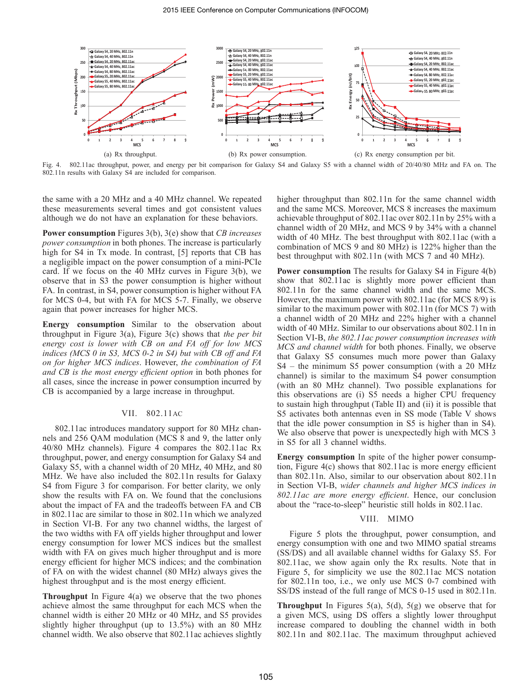

Fig. 4. 802.11ac throughput, power, and energy per bit comparison for Galaxy S4 and Galaxy S5 with a channel width of 20/40/80 MHz and FA on. The 802.11n results with Galaxy S4 are included for comparison.

the same with a 20 MHz and a 40 MHz channel. We repeated these measurements several times and got consistent values although we do not have an explanation for these behaviors.

**Power consumption** Figures 3(b), 3(e) show that *CB increases power consumption* in both phones. The increase is particularly high for S4 in Tx mode. In contrast, [5] reports that CB has a negligible impact on the power consumption of a mini-PCIe card. If we focus on the 40 MHz curves in Figure 3(b), we observe that in S3 the power consumption is higher without FA. In contrast, in S4, power consumption is higher without FA for MCS 0-4, but with FA for MCS 5-7. Finally, we observe again that power increases for higher MCS.

**Energy consumption** Similar to the observation about throughput in Figure 3(a), Figure 3(c) shows that *the per bit energy cost is lower with CB on and FA off for low MCS indices (MCS 0 in S3, MCS 0-2 in S4) but with CB off and FA on for higher MCS indices*. However, *the combination of FA and CB is the most energy efficient option* in both phones for all cases, since the increase in power consumption incurred by CB is accompanied by a large increase in throughput.

## VII. 802.11AC

802.11ac introduces mandatory support for 80 MHz channels and 256 QAM modulation (MCS 8 and 9, the latter only 40/80 MHz channels). Figure 4 compares the 802.11ac Rx throughput, power, and energy consumption for Galaxy S4 and Galaxy S5, with a channel width of 20 MHz, 40 MHz, and 80 MHz. We have also included the 802.11n results for Galaxy S4 from Figure 3 for comparison. For better clarity, we only show the results with FA on. We found that the conclusions about the impact of FA and the tradeoffs between FA and CB in 802.11ac are similar to those in 802.11n which we analyzed in Section VI-B. For any two channel widths, the largest of the two widths with FA off yields higher throughput and lower energy consumption for lower MCS indices but the smallest width with FA on gives much higher throughput and is more energy efficient for higher MCS indices; and the combination of FA on with the widest channel (80 MHz) always gives the highest throughput and is the most energy efficient.

**Throughput** In Figure 4(a) we observe that the two phones achieve almost the same throughput for each MCS when the channel width is either 20 MHz or 40 MHz, and S5 provides slightly higher throughput (up to 13.5%) with an 80 MHz channel width. We also observe that 802.11ac achieves slightly higher throughput than 802.11n for the same channel width and the same MCS. Moreover, MCS 8 increases the maximum achievable throughput of 802.11ac over 802.11n by 25% with a channel width of 20 MHz, and MCS 9 by 34% with a channel width of 40 MHz. The best throughput with 802.11ac (with a combination of MCS 9 and 80 MHz) is 122% higher than the best throughput with 802.11n (with MCS 7 and 40 MHz).

**Power consumption** The results for Galaxy S4 in Figure 4(b) show that 802.11ac is slightly more power efficient than 802.11n for the same channel width and the same MCS. However, the maximum power with 802.11ac (for MCS 8/9) is similar to the maximum power with 802.11n (for MCS 7) with a channel width of 20 MHz and 22% higher with a channel width of 40 MHz. Similar to our observations about 802.11n in Section VI-B, *the 802.11ac power consumption increases with MCS and channel width* for both phones. Finally, we observe that Galaxy S5 consumes much more power than Galaxy S4 – the minimum S5 power consumption (with a 20 MHz channel) is similar to the maximum S4 power consumption (with an 80 MHz channel). Two possible explanations for this observations are (i) S5 needs a higher CPU frequency to sustain high throughput (Table II) and (ii) it is possible that S5 activates both antennas even in SS mode (Table V shows that the idle power consumption in S5 is higher than in S4). We also observe that power is unexpectedly high with MCS 3 in S5 for all 3 channel widths.

**Energy consumption** In spite of the higher power consumption, Figure 4(c) shows that 802.11ac is more energy efficient than 802.11n. Also, similar to our observation about 802.11n in Section VI-B, *wider channels and higher MCS indices in 802.11ac are more energy efficient*. Hence, our conclusion about the "race-to-sleep" heuristic still holds in 802.11ac.

## VIII. MIMO

Figure 5 plots the throughput, power consumption, and energy consumption with one and two MIMO spatial streams (SS/DS) and all available channel widths for Galaxy S5. For 802.11ac, we show again only the Rx results. Note that in Figure 5, for simplicity we use the 802.11ac MCS notation for 802.11n too, i.e., we only use MCS 0-7 combined with SS/DS instead of the full range of MCS 0-15 used in 802.11n.

**Throughput** In Figures 5(a), 5(d), 5(g) we observe that for a given MCS, using DS offers a slightly lower throughput increase compared to doubling the channel width in both 802.11n and 802.11ac. The maximum throughput achieved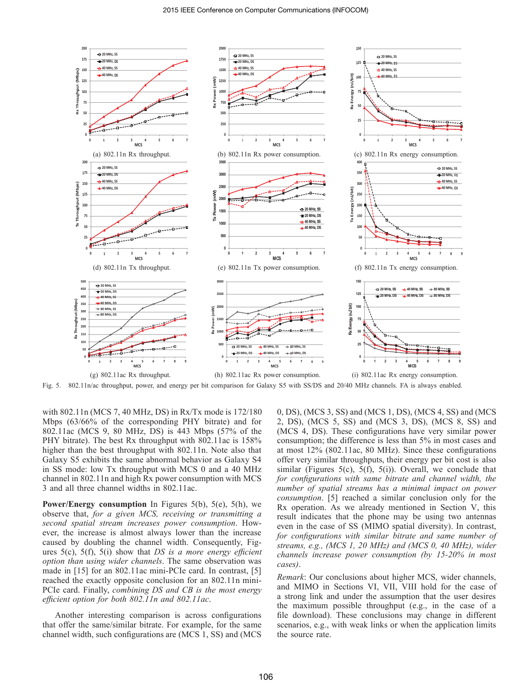

Fig. 5. 802.11n/ac throughput, power, and energy per bit comparison for Galaxy S5 with SS/DS and 20/40 MHz channels. FA is always enabled.

with 802.11n (MCS 7, 40 MHz, DS) in Rx/Tx mode is 172/180 Mbps (63/66% of the corresponding PHY bitrate) and for 802.11ac (MCS 9, 80 MHz, DS) is 443 Mbps (57% of the PHY bitrate). The best Rx throughput with 802.11ac is 158% higher than the best throughput with 802.11n. Note also that Galaxy S5 exhibits the same abnormal behavior as Galaxy S4 in SS mode: low Tx throughput with MCS 0 and a 40 MHz channel in 802.11n and high Rx power consumption with MCS 3 and all three channel widths in 802.11ac.

**Power/Energy consumption** In Figures 5(b), 5(e), 5(h), we observe that, *for a given MCS, receiving or transmitting a second spatial stream increases power consumption*. However, the increase is almost always lower than the increase caused by doubling the channel width. Consequently, Figures 5(c), 5(f), 5(i) show that *DS is a more energy efficient option than using wider channels*. The same observation was made in [15] for an 802.11ac mini-PCIe card. In contrast, [5] reached the exactly opposite conclusion for an 802.11n mini-PCIe card. Finally, *combining DS and CB is the most energy efficient option for both 802.11n and 802.11ac*.

Another interesting comparison is across configurations that offer the same/similar bitrate. For example, for the same channel width, such configurations are (MCS 1, SS) and (MCS

0, DS), (MCS 3, SS) and (MCS 1, DS), (MCS 4, SS) and (MCS 2, DS), (MCS 5, SS) and (MCS 3, DS), (MCS 8, SS) and (MCS 4, DS). These configurations have very similar power consumption; the difference is less than 5% in most cases and at most 12% (802.11ac, 80 MHz). Since these configurations offer very similar throughputs, their energy per bit cost is also similar (Figures 5(c), 5(f), 5(i)). Overall, we conclude that *for configurations with same bitrate and channel width, the number of spatial streams has a minimal impact on power consumption*. [5] reached a similar conclusion only for the Rx operation. As we already mentioned in Section V, this result indicates that the phone may be using two antennas even in the case of SS (MIMO spatial diversity). In contrast, *for configurations with similar bitrate and same number of streams, e.g., (MCS 1, 20 MHz) and (MCS 0, 40 MHz), wider channels increase power consumption (by 15-20% in most cases)*.

*Remark*: Our conclusions about higher MCS, wider channels, and MIMO in Sections VI, VII, VIII hold for the case of a strong link and under the assumption that the user desires the maximum possible throughput (e.g., in the case of a file download). These conclusions may change in different scenarios, e.g., with weak links or when the application limits the source rate.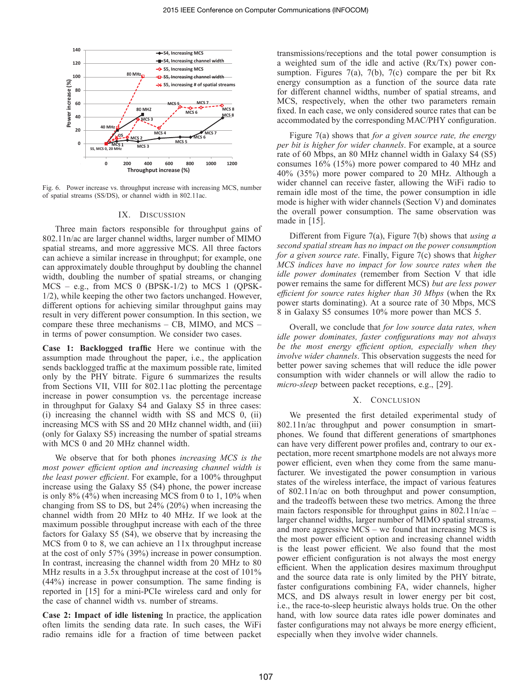

Fig. 6. Power increase vs. throughput increase with increasing MCS, number of spatial streams (SS/DS), or channel width in 802.11ac.

#### IX. DISCUSSION

Three main factors responsible for throughput gains of 802.11n/ac are larger channel widths, larger number of MIMO spatial streams, and more aggressive MCS. All three factors can achieve a similar increase in throughput; for example, one can approximately double throughput by doubling the channel width, doubling the number of spatial streams, or changing  $MCS - e.g.,$  from  $MCS 0$  (BPSK-1/2) to  $MCS 1$  (QPSK-1/2), while keeping the other two factors unchanged. However, different options for achieving similar throughput gains may result in very different power consumption. In this section, we compare these three mechanisms – CB, MIMO, and MCS – in terms of power consumption. We consider two cases.

**Case 1: Backlogged traffic** Here we continue with the assumption made throughout the paper, i.e., the application sends backlogged traffic at the maximum possible rate, limited only by the PHY bitrate. Figure 6 summarizes the results from Sections VII, VIII for 802.11ac plotting the percentage increase in power consumption vs. the percentage increase in throughput for Galaxy S4 and Galaxy S5 in three cases: (i) increasing the channel width with SS and MCS 0, (ii) increasing MCS with SS and 20 MHz channel width, and (iii) (only for Galaxy S5) increasing the number of spatial streams with MCS 0 and 20 MHz channel width.

We observe that for both phones *increasing MCS is the most power efficient option and increasing channel width is the least power efficient*. For example, for a 100% throughput increase using the Galaxy S5 (S4) phone, the power increase is only 8% (4%) when increasing MCS from 0 to 1, 10% when changing from SS to DS, but 24% (20%) when increasing the channel width from 20 MHz to 40 MHz. If we look at the maximum possible throughput increase with each of the three factors for Galaxy S5 (S4), we observe that by increasing the MCS from 0 to 8, we can achieve an  $11x$  throughput increase at the cost of only 57% (39%) increase in power consumption. In contrast, increasing the channel width from 20 MHz to 80 MHz results in a 3.5x throughput increase at the cost of 101% (44%) increase in power consumption. The same finding is reported in [15] for a mini-PCIe wireless card and only for the case of channel width vs. number of streams.

**Case 2: Impact of idle listening** In practice, the application often limits the sending data rate. In such cases, the WiFi radio remains idle for a fraction of time between packet transmissions/receptions and the total power consumption is a weighted sum of the idle and active (Rx/Tx) power consumption. Figures 7(a), 7(b), 7(c) compare the per bit Rx energy consumption as a function of the source data rate for different channel widths, number of spatial streams, and MCS, respectively, when the other two parameters remain fixed. In each case, we only considered source rates that can be accommodated by the corresponding MAC/PHY configuration.

Figure 7(a) shows that *for a given source rate, the energy per bit is higher for wider channels*. For example, at a source rate of 60 Mbps, an 80 MHz channel width in Galaxy S4 (S5) consumes 16% (15%) more power compared to 40 MHz and 40% (35%) more power compared to 20 MHz. Although a wider channel can receive faster, allowing the WiFi radio to remain idle most of the time, the power consumption in idle mode is higher with wider channels (Section V) and dominates the overall power consumption. The same observation was made in [15].

Different from Figure 7(a), Figure 7(b) shows that *using a second spatial stream has no impact on the power consumption for a given source rate*. Finally, Figure 7(c) shows that *higher MCS indices have no impact for low source rates when the idle power dominates* (remember from Section V that idle power remains the same for different MCS) *but are less power efficient for source rates higher than 30 Mbps* (when the Rx power starts dominating). At a source rate of 30 Mbps, MCS 8 in Galaxy S5 consumes 10% more power than MCS 5.

Overall, we conclude that *for low source data rates, when idle power dominates, faster configurations may not always be the most energy efficient option, especially when they involve wider channels*. This observation suggests the need for better power saving schemes that will reduce the idle power consumption with wider channels or will allow the radio to *micro-sleep* between packet receptions, e.g., [29].

## X. CONCLUSION

We presented the first detailed experimental study of 802.11n/ac throughput and power consumption in smartphones. We found that different generations of smartphones can have very different power profiles and, contrary to our expectation, more recent smartphone models are not always more power efficient, even when they come from the same manufacturer. We investigated the power consumption in various states of the wireless interface, the impact of various features of 802.11n/ac on both throughput and power consumption, and the tradeoffs between these two metrics. Among the three main factors responsible for throughput gains in  $802.11n/ac$  – larger channel widths, larger number of MIMO spatial streams, and more aggressive MCS – we found that increasing MCS is the most power efficient option and increasing channel width is the least power efficient. We also found that the most power efficient configuration is not always the most energy efficient. When the application desires maximum throughput and the source data rate is only limited by the PHY bitrate, faster configurations combining FA, wider channels, higher MCS, and DS always result in lower energy per bit cost, i.e., the race-to-sleep heuristic always holds true. On the other hand, with low source data rates idle power dominates and faster configurations may not always be more energy efficient, especially when they involve wider channels.